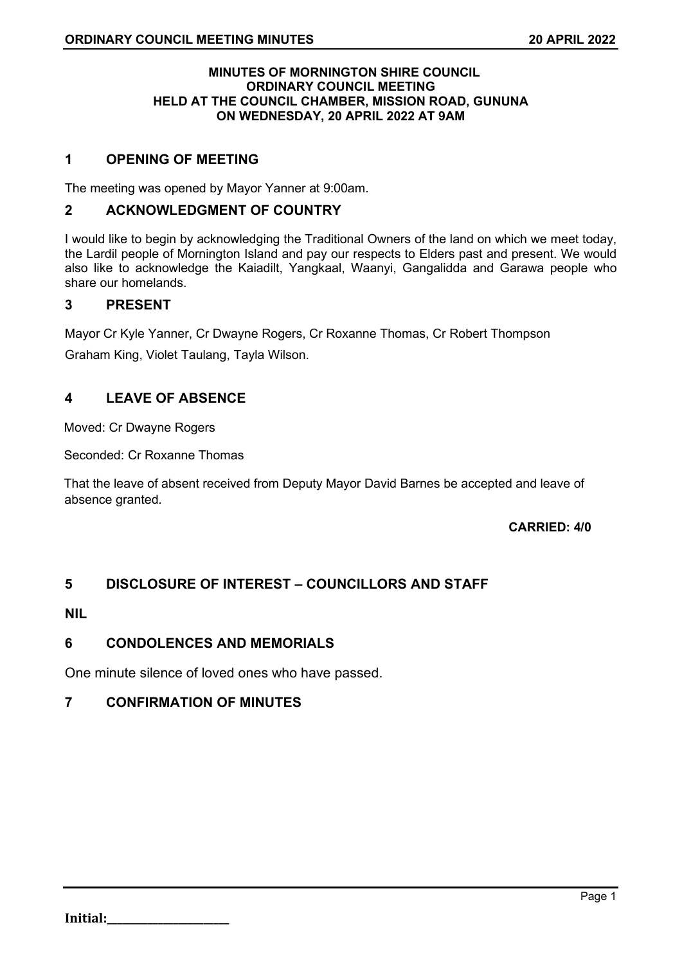## **MINUTES OF MORNINGTON SHIRE COUNCIL ORDINARY COUNCIL MEETING HELD AT THE COUNCIL CHAMBER, MISSION ROAD, GUNUNA ON WEDNESDAY, 20 APRIL 2022 AT 9AM**

# **1 OPENING OF MEETING**

The meeting was opened by Mayor Yanner at 9:00am.

# **2 ACKNOWLEDGMENT OF COUNTRY**

I would like to begin by acknowledging the Traditional Owners of the land on which we meet today, the Lardil people of Mornington Island and pay our respects to Elders past and present. We would also like to acknowledge the Kaiadilt, Yangkaal, Waanyi, Gangalidda and Garawa people who share our homelands.

# **3 PRESENT**

Mayor Cr Kyle Yanner, Cr Dwayne Rogers, Cr Roxanne Thomas, Cr Robert Thompson

Graham King, Violet Taulang, Tayla Wilson.

# **4 LEAVE OF ABSENCE**

Moved: Cr Dwayne Rogers

Seconded: Cr Roxanne Thomas

That the leave of absent received from Deputy Mayor David Barnes be accepted and leave of absence granted.

## **CARRIED: 4/0**

# **5 DISCLOSURE OF INTEREST – COUNCILLORS AND STAFF**

# **NIL**

# **6 CONDOLENCES AND MEMORIALS**

One minute silence of loved ones who have passed.

# **7 CONFIRMATION OF MINUTES**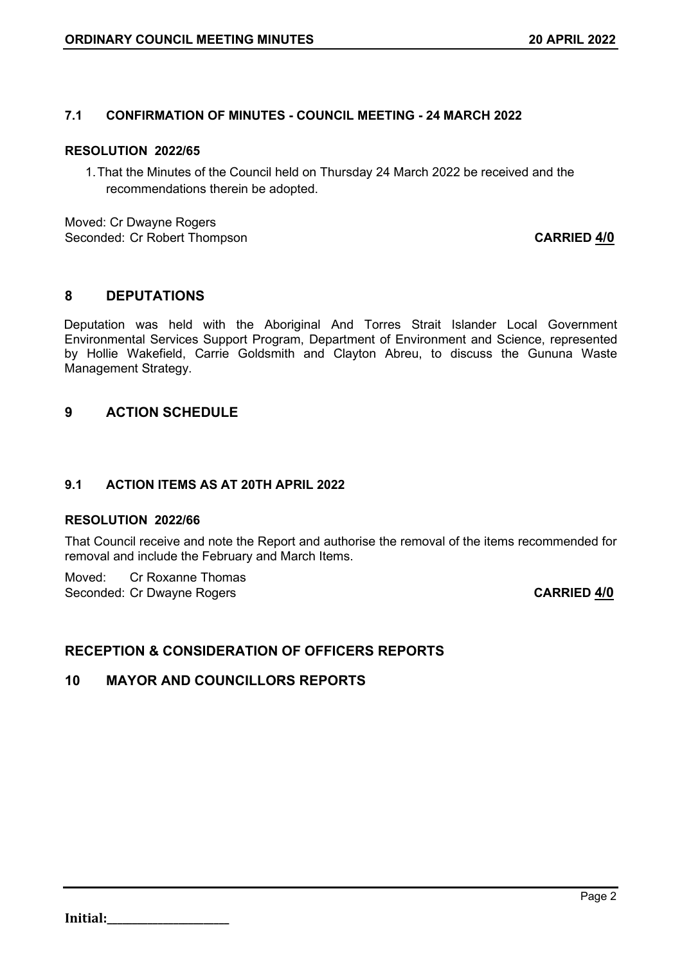# **7.1 CONFIRMATION OF MINUTES - COUNCIL MEETING - 24 MARCH 2022**

## **RESOLUTION 2022/65**

1.That the Minutes of the Council held on Thursday 24 March 2022 be received and the recommendations therein be adopted.

Moved: Cr Dwayne Rogers Seconded: Cr Robert Thompson **CARRIED 4/0**

# **8 DEPUTATIONS**

Deputation was held with the Aboriginal And Torres Strait Islander Local Government Environmental Services Support Program, Department of Environment and Science, represented by Hollie Wakefield, Carrie Goldsmith and Clayton Abreu, to discuss the Gununa Waste Management Strategy.

# **9 ACTION SCHEDULE**

# **9.1 ACTION ITEMS AS AT 20TH APRIL 2022**

## **RESOLUTION 2022/66**

That Council receive and note the Report and authorise the removal of the items recommended for removal and include the February and March Items.

Moved: Cr Roxanne Thomas Seconded: Cr Dwayne Rogers **CARRIED 4/0** 

# **RECEPTION & CONSIDERATION OF OFFICERS REPORTS**

# **10 MAYOR AND COUNCILLORS REPORTS**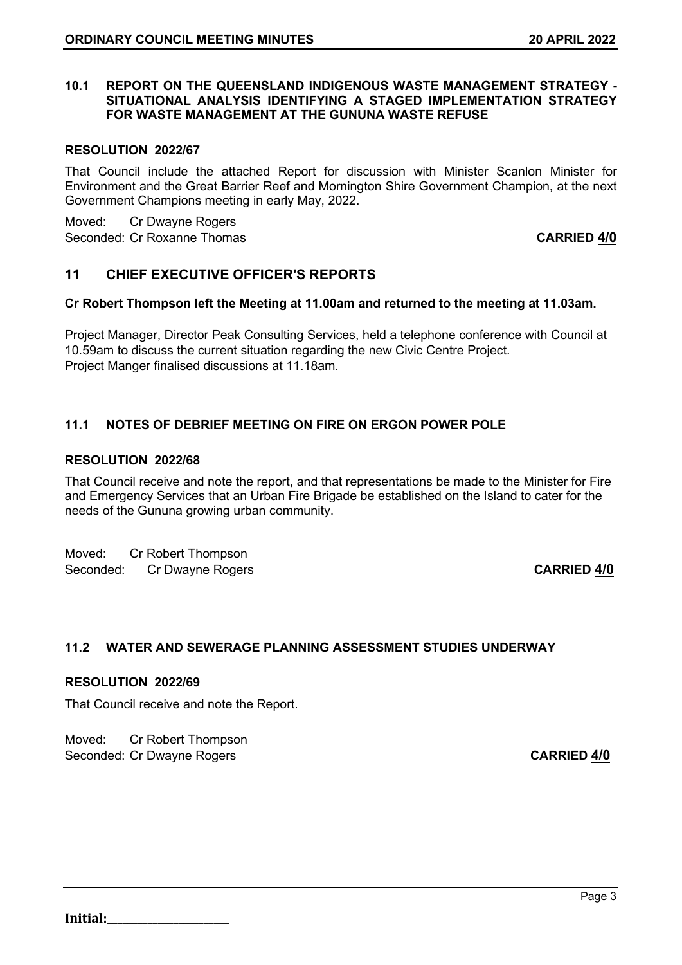## **10.1 REPORT ON THE QUEENSLAND INDIGENOUS WASTE MANAGEMENT STRATEGY - SITUATIONAL ANALYSIS IDENTIFYING A STAGED IMPLEMENTATION STRATEGY FOR WASTE MANAGEMENT AT THE GUNUNA WASTE REFUSE**

## **RESOLUTION 2022/67**

That Council include the attached Report for discussion with Minister Scanlon Minister for Environment and the Great Barrier Reef and Mornington Shire Government Champion, at the next Government Champions meeting in early May, 2022.

Moved: Cr Dwayne Rogers Seconded: Cr Roxanne Thomas **CARRIED 4/0**

# **11 CHIEF EXECUTIVE OFFICER'S REPORTS**

## **Cr Robert Thompson left the Meeting at 11.00am and returned to the meeting at 11.03am.**

Project Manager, Director Peak Consulting Services, held a telephone conference with Council at 10.59am to discuss the current situation regarding the new Civic Centre Project. Project Manger finalised discussions at 11.18am.

# **11.1 NOTES OF DEBRIEF MEETING ON FIRE ON ERGON POWER POLE**

## **RESOLUTION 2022/68**

That Council receive and note the report, and that representations be made to the Minister for Fire and Emergency Services that an Urban Fire Brigade be established on the Island to cater for the needs of the Gununa growing urban community.

Moved: Cr Robert Thompson Seconded: Cr Dwayne Rogers **CARRIED 4/0** 

# **11.2 WATER AND SEWERAGE PLANNING ASSESSMENT STUDIES UNDERWAY**

## **RESOLUTION 2022/69**

That Council receive and note the Report.

Moved: Cr Robert Thompson Seconded: Cr Dwayne Rogers **CARRIED 4/0**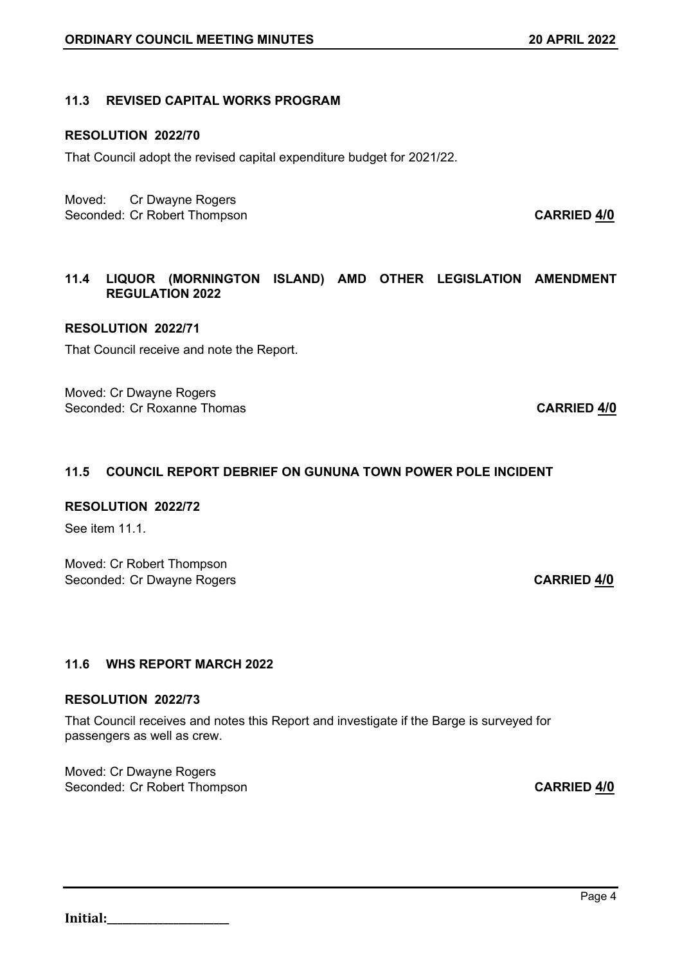## **11.3 REVISED CAPITAL WORKS PROGRAM**

## **RESOLUTION 2022/70**

That Council adopt the revised capital expenditure budget for 2021/22.

Moved: Cr Dwayne Rogers Seconded: Cr Robert Thompson **CARRIED 4/0** 

# **11.4 LIQUOR (MORNINGTON ISLAND) AMD OTHER LEGISLATION AMENDMENT REGULATION 2022**

## **RESOLUTION 2022/71**

That Council receive and note the Report.

Moved: Cr Dwayne Rogers Seconded: Cr Roxanne Thomas **CARRIED 4/0**

# **11.5 COUNCIL REPORT DEBRIEF ON GUNUNA TOWN POWER POLE INCIDENT**

### **RESOLUTION 2022/72**

See item 11.1

Moved: Cr Robert Thompson Seconded: Cr Dwayne Rogers **CARRIED 4/0** 

## **11.6 WHS REPORT MARCH 2022**

## **RESOLUTION 2022/73**

That Council receives and notes this Report and investigate if the Barge is surveyed for passengers as well as crew.

Moved: Cr Dwayne Rogers Seconded: Cr Robert Thompson **CARRIED 4/0**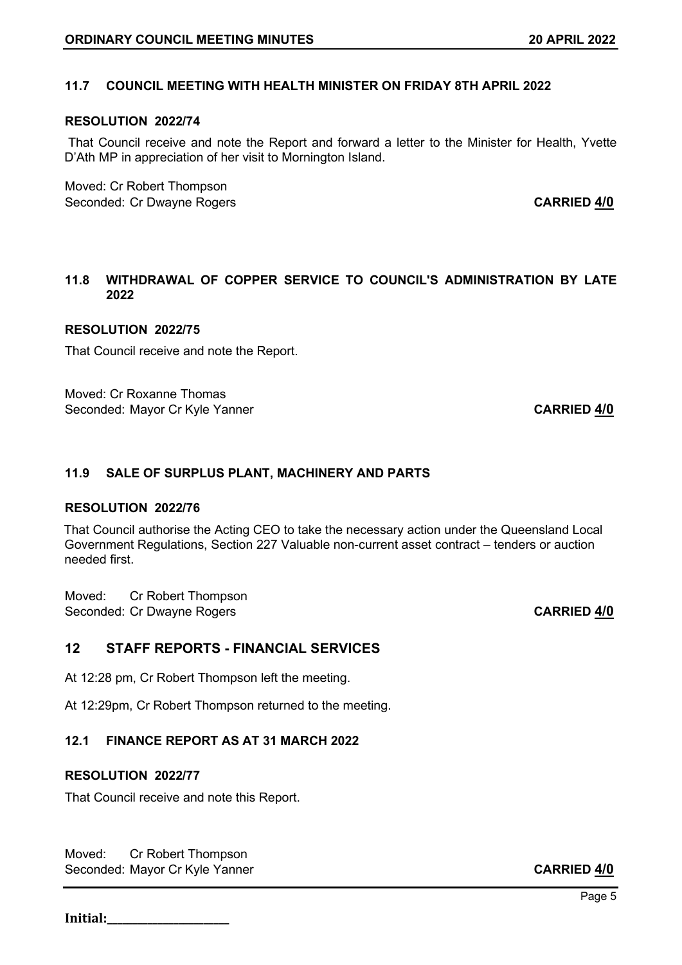# **11.7 COUNCIL MEETING WITH HEALTH MINISTER ON FRIDAY 8TH APRIL 2022**

### **RESOLUTION 2022/74**

That Council receive and note the Report and forward a letter to the Minister for Health, Yvette D'Ath MP in appreciation of her visit to Mornington Island.

Moved: Cr Robert Thompson Seconded: Cr Dwayne Rogers **CARRIED 4/0** 

## **11.8 WITHDRAWAL OF COPPER SERVICE TO COUNCIL'S ADMINISTRATION BY LATE 2022**

#### **RESOLUTION 2022/75**

That Council receive and note the Report.

Moved: Cr Roxanne Thomas Seconded: Mayor Cr Kyle Yanner **CARRIED 4/0 CARRIED 4/0** 

### **11.9 SALE OF SURPLUS PLANT, MACHINERY AND PARTS**

#### **RESOLUTION 2022/76**

That Council authorise the Acting CEO to take the necessary action under the Queensland Local Government Regulations, Section 227 Valuable non-current asset contract – tenders or auction needed first.

Moved: Cr Robert Thompson Seconded: Cr Dwayne Rogers **CARRIED 4/0** 

# **12 STAFF REPORTS - FINANCIAL SERVICES**

At 12:28 pm, Cr Robert Thompson left the meeting.

At 12:29pm, Cr Robert Thompson returned to the meeting.

## **12.1 FINANCE REPORT AS AT 31 MARCH 2022**

#### **RESOLUTION 2022/77**

That Council receive and note this Report.

Moved: Cr Robert Thompson Seconded: Mayor Cr Kyle Yanner **CARRIED 4/0**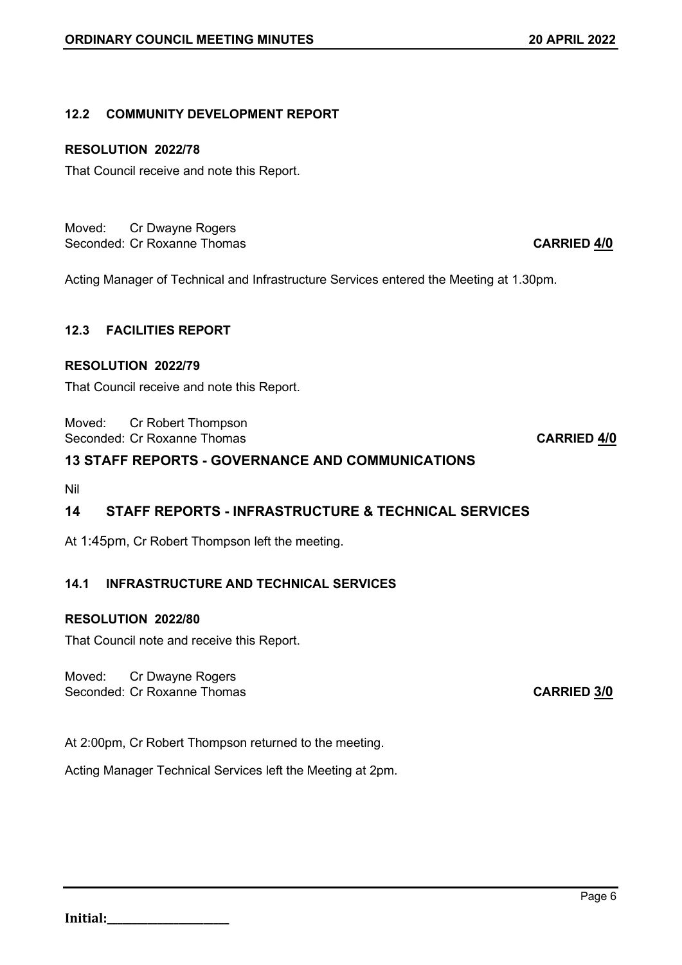# **12.2 COMMUNITY DEVELOPMENT REPORT**

# **RESOLUTION 2022/78**

That Council receive and note this Report.

Moved: Cr Dwayne Rogers Seconded: Cr Roxanne Thomas **CARRIED 4/0** 

Acting Manager of Technical and Infrastructure Services entered the Meeting at 1.30pm.

# **12.3 FACILITIES REPORT**

# **RESOLUTION 2022/79**

That Council receive and note this Report.

Moved: Cr Robert Thompson Seconded: Cr Roxanne Thomas **CARRIED 4/0** 

# **13 STAFF REPORTS - GOVERNANCE AND COMMUNICATIONS**

Nil

# **14 STAFF REPORTS - INFRASTRUCTURE & TECHNICAL SERVICES**

At 1:45pm, Cr Robert Thompson left the meeting.

# **14.1 INFRASTRUCTURE AND TECHNICAL SERVICES**

# **RESOLUTION 2022/80**

That Council note and receive this Report.

# Moved: Cr Dwayne Rogers

Seconded: Cr Roxanne Thomas **CARRIED 3/0**

At 2:00pm, Cr Robert Thompson returned to the meeting.

Acting Manager Technical Services left the Meeting at 2pm.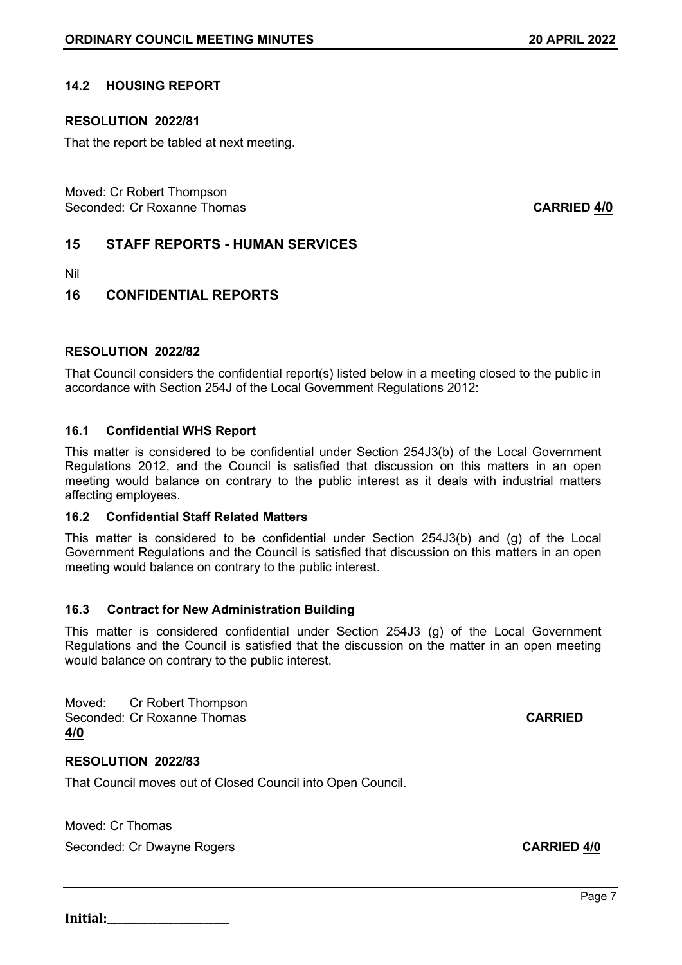# **14.2 HOUSING REPORT**

## **RESOLUTION 2022/81**

That the report be tabled at next meeting.

Moved: Cr Robert Thompson Seconded: Cr Roxanne Thomas **CARRIED 4/0**

# **15 STAFF REPORTS - HUMAN SERVICES**

Nil

# **16 CONFIDENTIAL REPORTS**

## **RESOLUTION 2022/82**

That Council considers the confidential report(s) listed below in a meeting closed to the public in accordance with Section 254J of the Local Government Regulations 2012:

## **16.1 Confidential WHS Report**

This matter is considered to be confidential under Section 254J3(b) of the Local Government Regulations 2012, and the Council is satisfied that discussion on this matters in an open meeting would balance on contrary to the public interest as it deals with industrial matters affecting employees.

## **16.2 Confidential Staff Related Matters**

This matter is considered to be confidential under Section 254J3(b) and (g) of the Local Government Regulations and the Council is satisfied that discussion on this matters in an open meeting would balance on contrary to the public interest.

## **16.3 Contract for New Administration Building**

This matter is considered confidential under Section 254J3 (g) of the Local Government Regulations and the Council is satisfied that the discussion on the matter in an open meeting would balance on contrary to the public interest.

Moved: Cr Robert Thompson Seconded: Cr Roxanne Thomas **CARRIED 4/0**

## **RESOLUTION 2022/83**

That Council moves out of Closed Council into Open Council.

Moved: Cr Thomas Seconded: Cr Dwayne Rogers **CARRIED 4/0**